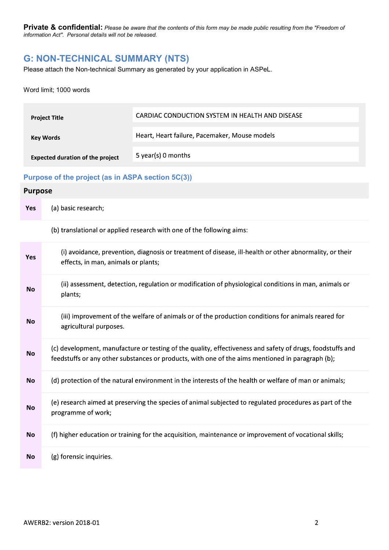# G: NON-TECHNICAL SUMMARY (NTS)

Please attach the Non-technical Summary as generated by your application in ASPeL.

#### Word limit; 1000 words

| <b>Project Title</b>                    | CARDIAC CONDUCTION SYSTEM IN HEALTH AND DISEASE |
|-----------------------------------------|-------------------------------------------------|
| Key Words                               | Heart, Heart failure, Pacemaker, Mouse models   |
| <b>Expected duration of the project</b> | 5 year(s) 0 months                              |

## Purpose of the project (as in ASPA section 5C(3))

## **Purpose**

| <b>Yes</b> | (a) basic research;                                                                                                                                                                                           |
|------------|---------------------------------------------------------------------------------------------------------------------------------------------------------------------------------------------------------------|
|            | (b) translational or applied research with one of the following aims:                                                                                                                                         |
| <b>Yes</b> | (i) avoidance, prevention, diagnosis or treatment of disease, ill-health or other abnormality, or their<br>effects, in man, animals or plants;                                                                |
| <b>No</b>  | (ii) assessment, detection, regulation or modification of physiological conditions in man, animals or<br>plants;                                                                                              |
| <b>No</b>  | (iii) improvement of the welfare of animals or of the production conditions for animals reared for<br>agricultural purposes.                                                                                  |
| <b>No</b>  | (c) development, manufacture or testing of the quality, effectiveness and safety of drugs, foodstuffs and<br>feedstuffs or any other substances or products, with one of the aims mentioned in paragraph (b); |
| <b>No</b>  | (d) protection of the natural environment in the interests of the health or welfare of man or animals;                                                                                                        |
| <b>No</b>  | (e) research aimed at preserving the species of animal subjected to regulated procedures as part of the<br>programme of work;                                                                                 |
| No         | (f) higher education or training for the acquisition, maintenance or improvement of vocational skills;                                                                                                        |
| <b>No</b>  | (g) forensic inquiries.                                                                                                                                                                                       |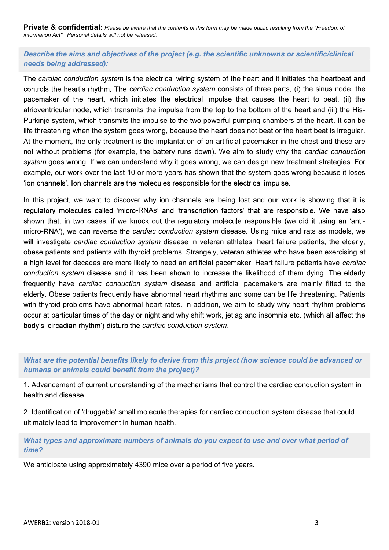Describe the aims and objectives of the project (e.g. the scientific unknowns or scientific/clinical needs being addressed):

The cardiac conduction system is the electrical wiring system of the heart and it initiates the heartbeat and controls the heart's rhythm. The cardiac conduction system consists of three parts, (i) the sinus node, the pacemaker of the heart, which initiates the electrical impulse that causes the heart to beat, (ii) the atrioventricular node, which transmits the impulse from the top to the bottom of the heart and (iii) the His-Purkinje system, which transmits the impulse to the two powerful pumping chambers of the heart. It can be life threatening when the system goes wrong, because the heart does not beat or the heart beat is irregular. At the moment, the only treatment is the implantation of an artificial pacemaker in the chest and these are not without problems (for example, the battery runs down). We aim to study why the *cardiac conduction* system goes wrong. If we can understand why it goes wrong, we can design new treatment strategies. For example, our work over the last 10 or more years has shown that the system goes wrong because it loses 'ion channels'. Ion channels are the molecules responsible for the electrical impulse.

In this project, we want to discover why ion channels are being lost and our work is showing that it is regulatory molecules called 'micro-RNAs' and 'transcription factors' that are responsible. We have also micro-RNA'), we can reverse the cardiac conduction system disease. Using mice and rats as models, we will investigate *cardiac conduction system* disease in veteran athletes, heart failure patients, the elderly, obese patients and patients with thyroid problems. Strangely, veteran athletes who have been exercising at a high level for decades are more likely to need an artificial pacemaker. Heart failure patients have cardiac conduction system disease and it has been shown to increase the likelihood of them dying. The elderly frequently have cardiac conduction system disease and artificial pacemakers are mainly fitted to the elderly. Obese patients frequently have abnormal heart rhythms and some can be life threatening. Patients with thyroid problems have abnormal heart rates. In addition, we aim to study why heart rhythm problems occur at particular times of the day or night and why shift work, jetlag and insomnia etc. (which all affect the body's 'circadian rhythm') disturb the cardiac conduction system.

## What are the potential benefits likely to derive from this project (how science could be advanced or humans or animals could benefit from the project)?

1. Advancement of current understanding of the mechanisms that control the cardiac conduction system in health and disease

2. Identification of 'druggable' small molecule therapies for cardiac conduction system disease that could ultimately lead to improvement in human health.

## What types and approximate numbers of animals do you expect to use and over what period of time?

We anticipate using approximately 4390 mice over a period of five years.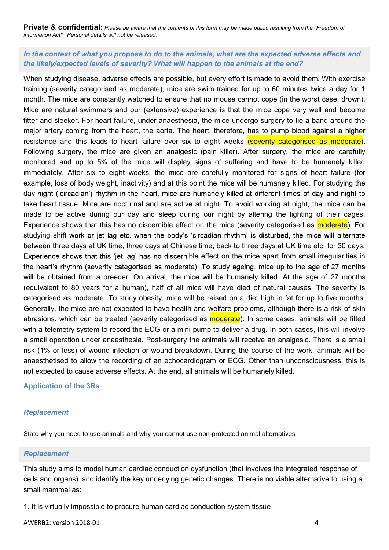## In the context of what you propose to do to the animals, what are the expected adverse effects and the likely/expected levels of severity? What will happen to the animals at the end?

When studying disease, adverse effects are possible, but every effort is made to avoid them. With exercise training (severity categorised as moderate), mice are swim trained for up to 60 minutes twice a day for 1 month. The mice are constantly watched to ensure that no mouse cannot cope (in the worst case, drown). Mice are natural swimmers and our (extensive) experience is that the mice cope very well and become fitter and sleeker. For heart failure, under anaesthesia, the mice undergo surgery to tie a band around the major artery coming from the heart, the aorta. The heart, therefore, has to pump blood against a higher resistance and this leads to heart failure over six to eight weeks (severity categorised as moderate). Following surgery, the mice are given an analgesic (pain killer). After surgery, the mice are carefully monitored and up to 5% of the mice will display signs of suffering and have to be humanely killed immediately. After six to eight weeks, the mice are carefully monitored for signs of heart failure (for example, loss of body weight, inactivity) and at this point the mice will be humanely killed. For studying the day-night ('circadian') rhythm in the heart, mice are humanely killed at different times of day and night to take heart tissue. Mice are nocturnal and are active at night. To avoid working at night, the mice can be made to be active during our day and sleep during our night by altering the lighting of their cages. Experience shows that this has no discernible effect on the mice (severity categorised as **moderate**). For studying shift work or jet lag etc. when the body's 'circadian rhythm' is disturbed, the mice will alternate between three days at UK time, three days at Chinese time, back to three days at UK time etc. for 30 days. Experience shows that this 'jet lag' has no discernible effect on the mice apart from small irregularities in the heart's rhythm (severity categorised as moderate). To study ageing, mice up to the age of 27 months will be obtained from a breeder. On arrival, the mice will be humanely killed. At the age of 27 months (equivalent to 80 years for a human), half of all mice will have died of natural causes. The severity is categorised as moderate. To study obesity, mice will be raised on a diet high in fat for up to five months. Generally, the mice are not expected to have health and welfare problems, although there is a risk of skin cellerativy, the muce are not expected to the relation and weinter plousines, antough there is a restort is an<br>abrasions, which can be treated (severity categorised as **moderate**). In some cases, animals will be fitted<br>wit abrasions, which can be treated (severity categorised as **moderate**). In some cases, animals will be fitted with a telemetry system to record the ECG or a mini-pump to deliver a drug. In both cases, this will involve a small operation under anaesthesia. Post-surgery the animals will receive an analgesic. There is a small risk (1% or less) of wound infection or wound breakdown. During the course of the work, animals will be anaesthetised to allow the recording of an echocardiogram or ECG. Other than unconsciousness, this is not expected to cause adverse effects. At the end, all animals will be humanely killed.

### Application of the 3Rs

### Replacement

State why you need to use animals and why you cannot use non-protected animal alternatives

### Replacement

This study aims to model human cardiac conduction dysfunction (that involves the integrated response of small mammal as:

1. It is virtually impossible to procure human cardiac conduction system tissue